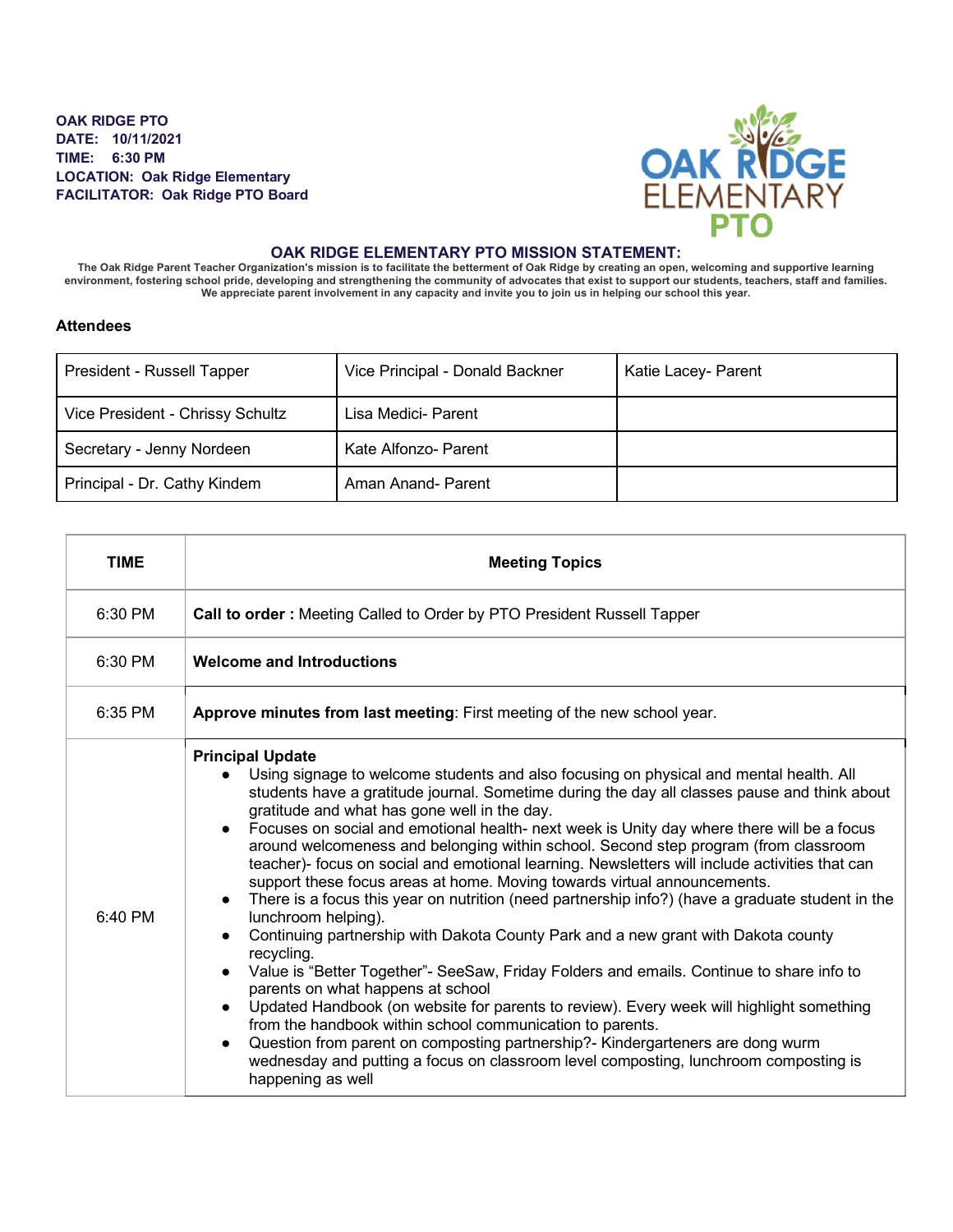## **OAK RIDGE PTO DATE: 10/11/2021 TIME: 6:30 PM LOCATION: Oak Ridge Elementary FACILITATOR: Oak Ridge PTO Board**



## **OAK RIDGE ELEMENTARY PTO MISSION STATEMENT:**

**The Oak Ridge Parent Teacher Organization's mission is to facilitate the betterment of Oak Ridge by creating an open, welcoming and supportive learning**  environment, fostering school pride, developing and strengthening the community of advocates that exist to support our students, teachers, staff and families.<br>We appreciate parent involvement in any capacity and invite you

## **Attendees**

| President - Russell Tapper       | Vice Principal - Donald Backner | Katie Lacey- Parent |
|----------------------------------|---------------------------------|---------------------|
| Vice President - Chrissy Schultz | Lisa Medici- Parent             |                     |
| Secretary - Jenny Nordeen        | Kate Alfonzo- Parent            |                     |
| Principal - Dr. Cathy Kindem     | Aman Anand- Parent              |                     |

| <b>TIME</b> | <b>Meeting Topics</b>                                                                                                                                                                                                                                                                                                                                                                                                                                                                                                                                                                                                                                                                                                                                                                                                                                                                                                                                                                                                                                                                                                                                                                                                                                                                                                                                                                                                                                  |  |
|-------------|--------------------------------------------------------------------------------------------------------------------------------------------------------------------------------------------------------------------------------------------------------------------------------------------------------------------------------------------------------------------------------------------------------------------------------------------------------------------------------------------------------------------------------------------------------------------------------------------------------------------------------------------------------------------------------------------------------------------------------------------------------------------------------------------------------------------------------------------------------------------------------------------------------------------------------------------------------------------------------------------------------------------------------------------------------------------------------------------------------------------------------------------------------------------------------------------------------------------------------------------------------------------------------------------------------------------------------------------------------------------------------------------------------------------------------------------------------|--|
| $6:30$ PM   | Call to order: Meeting Called to Order by PTO President Russell Tapper                                                                                                                                                                                                                                                                                                                                                                                                                                                                                                                                                                                                                                                                                                                                                                                                                                                                                                                                                                                                                                                                                                                                                                                                                                                                                                                                                                                 |  |
| 6:30 PM     | <b>Welcome and Introductions</b>                                                                                                                                                                                                                                                                                                                                                                                                                                                                                                                                                                                                                                                                                                                                                                                                                                                                                                                                                                                                                                                                                                                                                                                                                                                                                                                                                                                                                       |  |
| $6:35$ PM   | Approve minutes from last meeting: First meeting of the new school year.                                                                                                                                                                                                                                                                                                                                                                                                                                                                                                                                                                                                                                                                                                                                                                                                                                                                                                                                                                                                                                                                                                                                                                                                                                                                                                                                                                               |  |
| $6:40$ PM   | <b>Principal Update</b><br>Using signage to welcome students and also focusing on physical and mental health. All<br>$\bullet$<br>students have a gratitude journal. Sometime during the day all classes pause and think about<br>gratitude and what has gone well in the day.<br>Focuses on social and emotional health- next week is Unity day where there will be a focus<br>$\bullet$<br>around welcomeness and belonging within school. Second step program (from classroom<br>teacher)- focus on social and emotional learning. Newsletters will include activities that can<br>support these focus areas at home. Moving towards virtual announcements.<br>There is a focus this year on nutrition (need partnership info?) (have a graduate student in the<br>$\bullet$<br>lunchroom helping).<br>Continuing partnership with Dakota County Park and a new grant with Dakota county<br>$\bullet$<br>recycling.<br>Value is "Better Together"- SeeSaw, Friday Folders and emails. Continue to share info to<br>$\bullet$<br>parents on what happens at school<br>Updated Handbook (on website for parents to review). Every week will highlight something<br>$\bullet$<br>from the handbook within school communication to parents.<br>Question from parent on composting partnership?- Kindergarteners are dong wurm<br>$\bullet$<br>wednesday and putting a focus on classroom level composting, lunchroom composting is<br>happening as well |  |